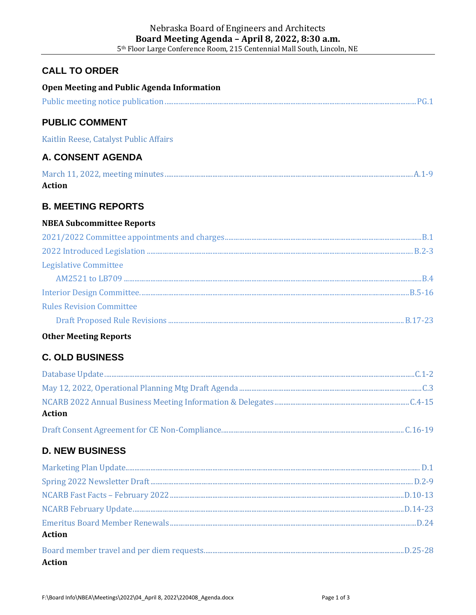### **CALL TO ORDER**

| Open Meeting and Public Agenda Information |  |
|--------------------------------------------|--|
|                                            |  |
| <b>PUBLIC COMMENT</b>                      |  |
| Kaitlin Reese, Catalyst Public Affairs     |  |
| A. CONSENT AGENDA                          |  |
| <b>Action</b>                              |  |
| <b>B. MEETING REPORTS</b>                  |  |
| <b>NBEA Subcommittee Reports</b>           |  |
|                                            |  |
|                                            |  |
| <b>Legislative Committee</b>               |  |
|                                            |  |
|                                            |  |
| <b>Rules Revision Committee</b>            |  |
|                                            |  |
| <b>Other Meeting Reports</b>               |  |
| <b>C. OLD BUSINESS</b>                     |  |
|                                            |  |
|                                            |  |
| <b>Action</b>                              |  |
|                                            |  |
| <b>D. NEW BUSINESS</b>                     |  |
|                                            |  |
|                                            |  |
|                                            |  |
|                                            |  |
| <b>Action</b>                              |  |
|                                            |  |

**Action**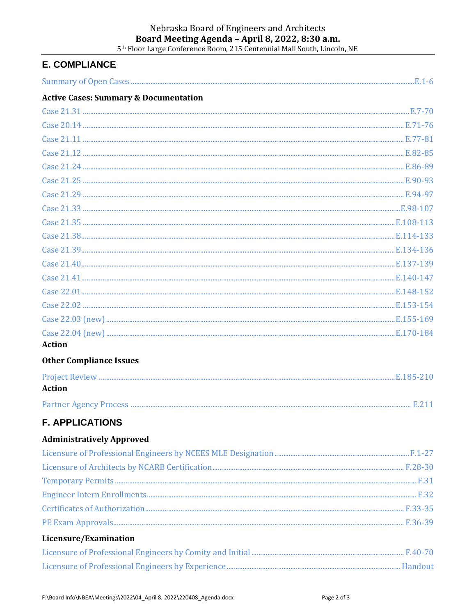# Nebraska Board of Engineers and Architects Board Meeting Agenda - April 8, 2022, 8:30 a.m.<br>5th Floor Large Conference Room, 215 Centennial Mall South, Lincoln, NE

## **E. COMPLIANCE**

| <b>Active Cases: Summary &amp; Documentation</b> |  |
|--------------------------------------------------|--|
|                                                  |  |
|                                                  |  |
|                                                  |  |
|                                                  |  |
|                                                  |  |
|                                                  |  |
|                                                  |  |
|                                                  |  |
|                                                  |  |
|                                                  |  |
|                                                  |  |
|                                                  |  |
|                                                  |  |
|                                                  |  |
|                                                  |  |
|                                                  |  |
|                                                  |  |
| <b>Action</b>                                    |  |
| <b>Other Compliance Issues</b>                   |  |
|                                                  |  |
| <b>Action</b>                                    |  |
|                                                  |  |
| <b>F. APPLICATIONS</b>                           |  |
| <b>Administratively Approved</b>                 |  |
|                                                  |  |
|                                                  |  |
|                                                  |  |
|                                                  |  |
|                                                  |  |
|                                                  |  |
| Licensure/Examination                            |  |
|                                                  |  |
|                                                  |  |